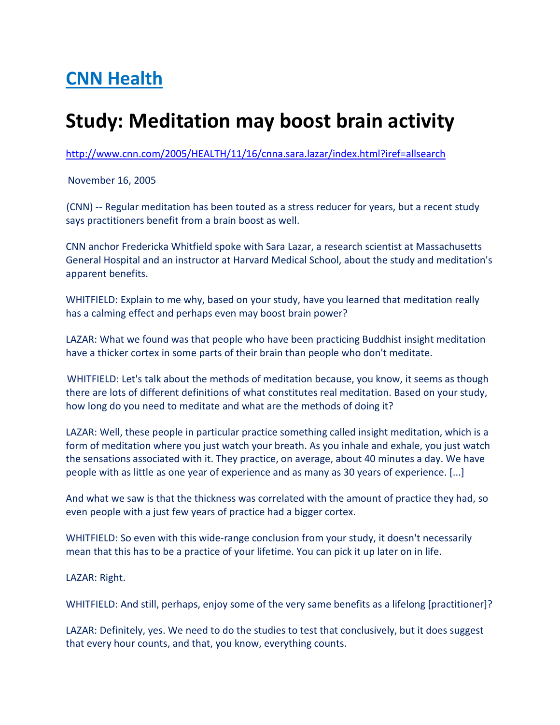## CNN Health

## Study: Meditation may boost brain activity

http://www.cnn.com/2005/HEALTH/11/16/cnna.sara.lazar/index.html?iref=allsearch

November 16, 2005

(CNN) -- Regular meditation has been touted as a stress reducer for years, but a recent study says practitioners benefit from a brain boost as well.

CNN anchor Fredericka Whitfield spoke with Sara Lazar, a research scientist at Massachusetts General Hospital and an instructor at Harvard Medical School, about the study and meditation's apparent benefits.

WHITFIELD: Explain to me why, based on your study, have you learned that meditation really has a calming effect and perhaps even may boost brain power?

LAZAR: What we found was that people who have been practicing Buddhist insight meditation have a thicker cortex in some parts of their brain than people who don't meditate.

WHITFIELD: Let's talk about the methods of meditation because, you know, it seems as though there are lots of different definitions of what constitutes real meditation. Based on your study, how long do you need to meditate and what are the methods of doing it?

LAZAR: Well, these people in particular practice something called insight meditation, which is a form of meditation where you just watch your breath. As you inhale and exhale, you just watch the sensations associated with it. They practice, on average, about 40 minutes a day. We have people with as little as one year of experience and as many as 30 years of experience. [...]

And what we saw is that the thickness was correlated with the amount of practice they had, so even people with a just few years of practice had a bigger cortex.

WHITFIELD: So even with this wide-range conclusion from your study, it doesn't necessarily mean that this has to be a practice of your lifetime. You can pick it up later on in life.

LAZAR: Right.

WHITFIELD: And still, perhaps, enjoy some of the very same benefits as a lifelong [practitioner]?

LAZAR: Definitely, yes. We need to do the studies to test that conclusively, but it does suggest that every hour counts, and that, you know, everything counts.